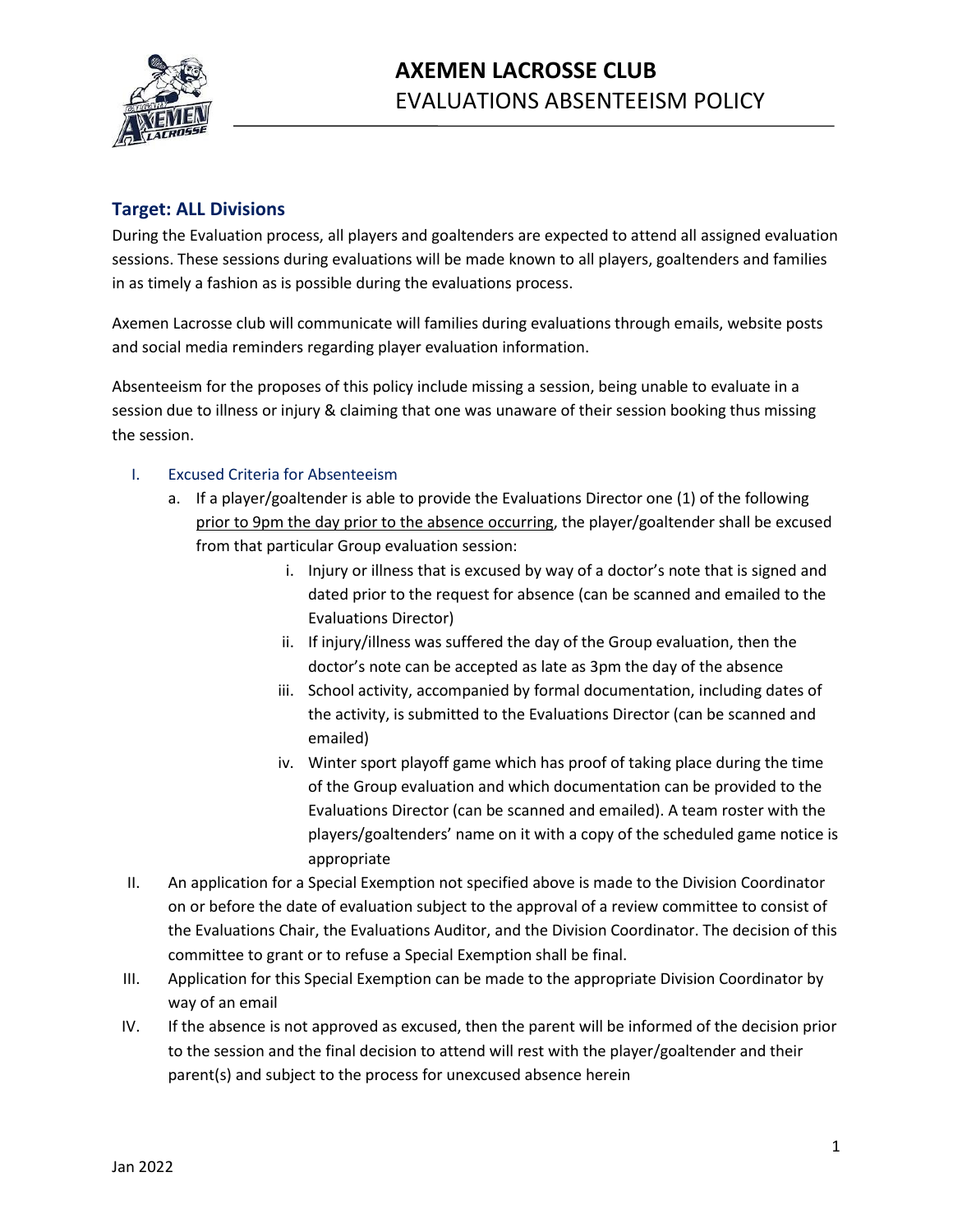

## **Target: ALL Divisions**

During the Evaluation process, all players and goaltenders are expected to attend all assigned evaluation sessions. These sessions during evaluations will be made known to all players, goaltenders and families in as timely a fashion as is possible during the evaluations process.

Axemen Lacrosse club will communicate will families during evaluations through emails, website posts and social media reminders regarding player evaluation information.

Absenteeism for the proposes of this policy include missing a session, being unable to evaluate in a session due to illness or injury & claiming that one was unaware of their session booking thus missing the session.

## I. Excused Criteria for Absenteeism

- a. If a player/goaltender is able to provide the Evaluations Director one (1) of the following prior to 9pm the day prior to the absence occurring, the player/goaltender shall be excused from that particular Group evaluation session:
	- i. Injury or illness that is excused by way of a doctor's note that is signed and dated prior to the request for absence (can be scanned and emailed to the Evaluations Director)
	- ii. If injury/illness was suffered the day of the Group evaluation, then the doctor's note can be accepted as late as 3pm the day of the absence
	- iii. School activity, accompanied by formal documentation, including dates of the activity, is submitted to the Evaluations Director (can be scanned and emailed)
	- iv. Winter sport playoff game which has proof of taking place during the time of the Group evaluation and which documentation can be provided to the Evaluations Director (can be scanned and emailed). A team roster with the players/goaltenders' name on it with a copy of the scheduled game notice is appropriate
- II. An application for a Special Exemption not specified above is made to the Division Coordinator on or before the date of evaluation subject to the approval of a review committee to consist of the Evaluations Chair, the Evaluations Auditor, and the Division Coordinator. The decision of this committee to grant or to refuse a Special Exemption shall be final.
- III. Application for this Special Exemption can be made to the appropriate Division Coordinator by way of an email
- IV. If the absence is not approved as excused, then the parent will be informed of the decision prior to the session and the final decision to attend will rest with the player/goaltender and their parent(s) and subject to the process for unexcused absence herein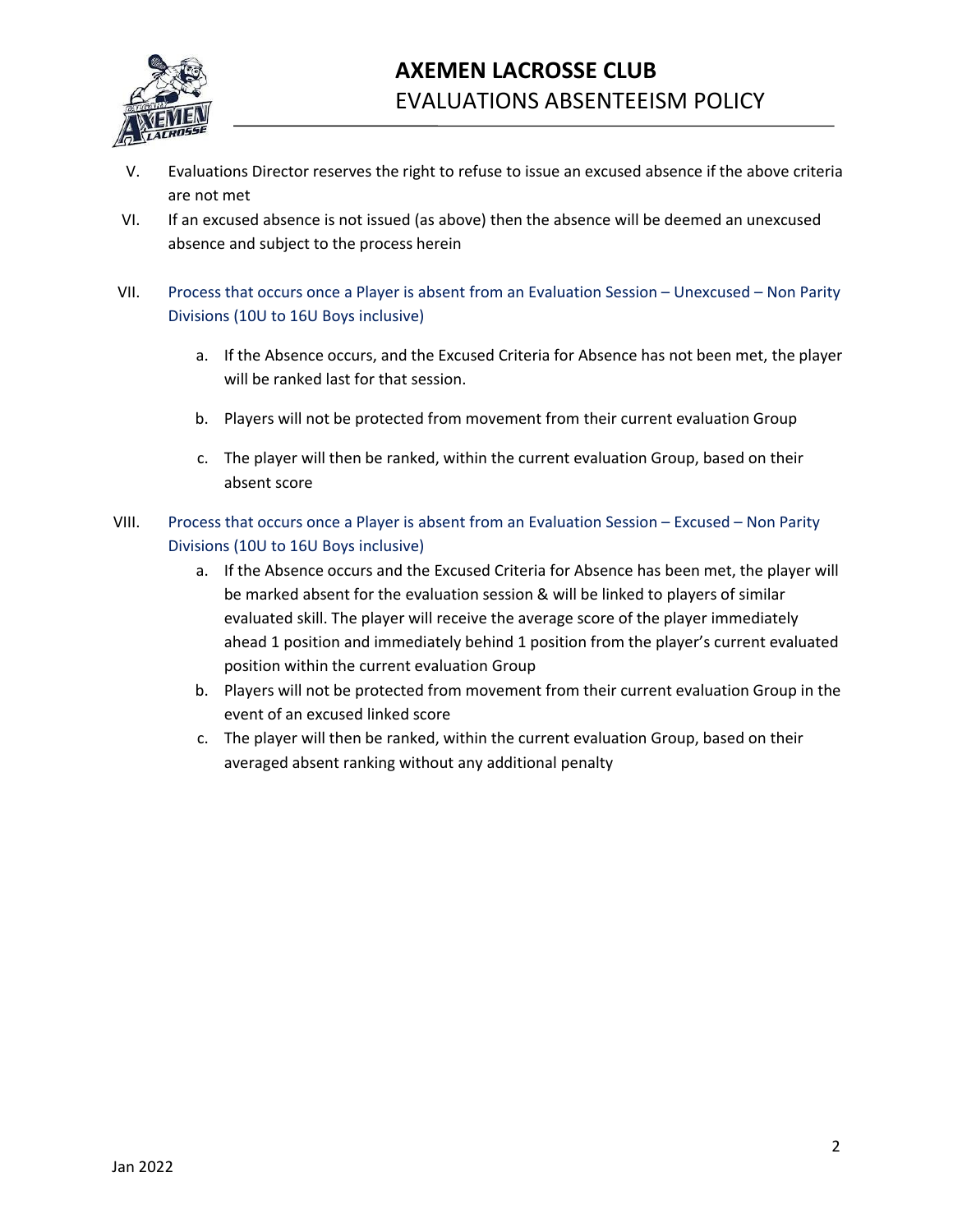

- V. Evaluations Director reserves the right to refuse to issue an excused absence if the above criteria are not met
- VI. If an excused absence is not issued (as above) then the absence will be deemed an unexcused absence and subject to the process herein
- VII. Process that occurs once a Player is absent from an Evaluation Session Unexcused Non Parity Divisions (10U to 16U Boys inclusive)
	- a. If the Absence occurs, and the Excused Criteria for Absence has not been met, the player will be ranked last for that session.
	- b. Players will not be protected from movement from their current evaluation Group
	- c. The player will then be ranked, within the current evaluation Group, based on their absent score
- VIII. Process that occurs once a Player is absent from an Evaluation Session Excused Non Parity Divisions (10U to 16U Boys inclusive)
	- a. If the Absence occurs and the Excused Criteria for Absence has been met, the player will be marked absent for the evaluation session & will be linked to players of similar evaluated skill. The player will receive the average score of the player immediately ahead 1 position and immediately behind 1 position from the player's current evaluated position within the current evaluation Group
	- b. Players will not be protected from movement from their current evaluation Group in the event of an excused linked score
	- c. The player will then be ranked, within the current evaluation Group, based on their averaged absent ranking without any additional penalty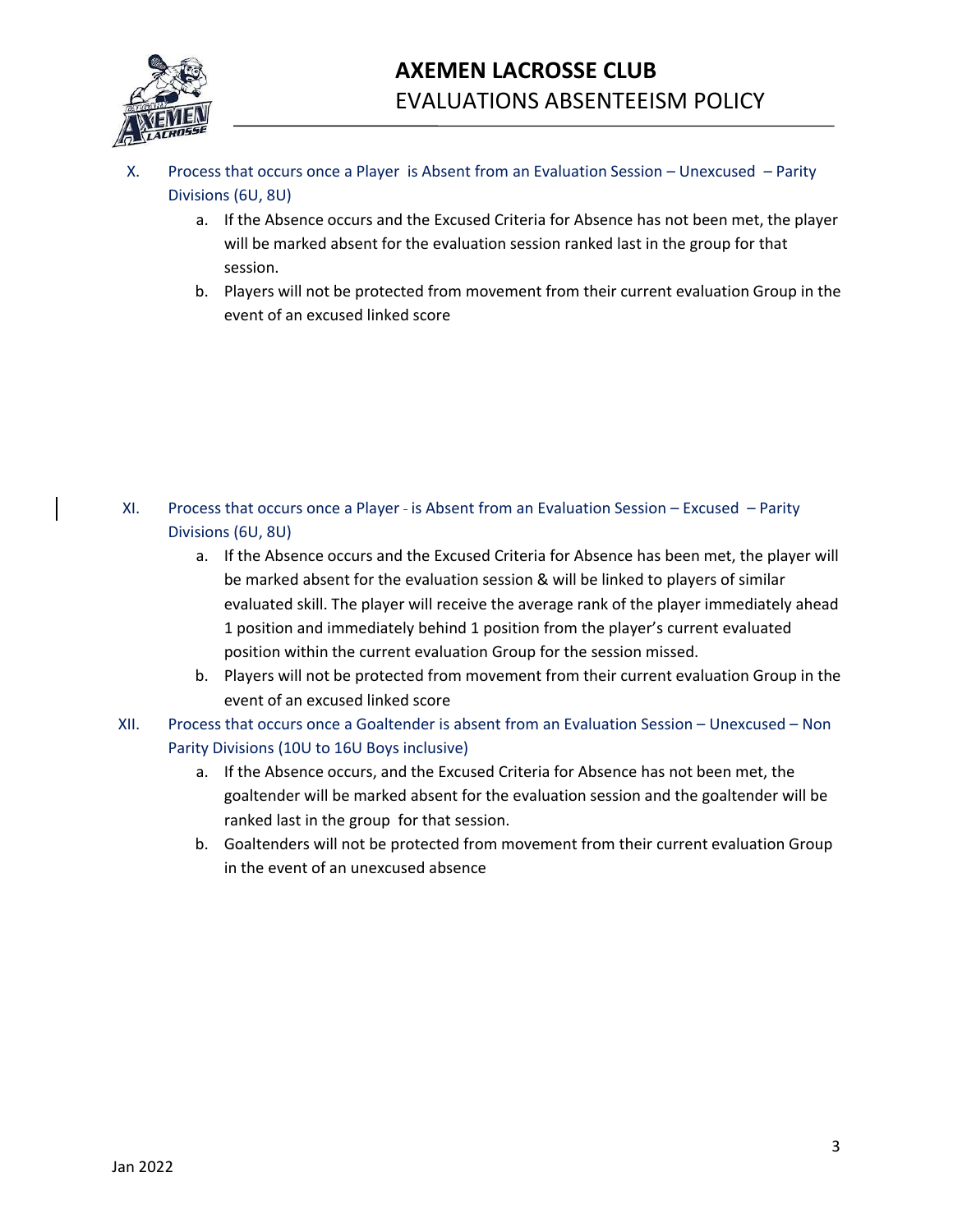

- X. Process that occurs once a Player is Absent from an Evaluation Session Unexcused Parity Divisions (6U, 8U)
	- a. If the Absence occurs and the Excused Criteria for Absence has not been met, the player will be marked absent for the evaluation session ranked last in the group for that session.
	- b. Players will not be protected from movement from their current evaluation Group in the event of an excused linked score

- XI. Process that occurs once a Player is Absent from an Evaluation Session Excused Parity Divisions (6U, 8U)
	- a. If the Absence occurs and the Excused Criteria for Absence has been met, the player will be marked absent for the evaluation session & will be linked to players of similar evaluated skill. The player will receive the average rank of the player immediately ahead 1 position and immediately behind 1 position from the player's current evaluated position within the current evaluation Group for the session missed.
	- b. Players will not be protected from movement from their current evaluation Group in the event of an excused linked score
- XII. Process that occurs once a Goaltender is absent from an Evaluation Session Unexcused Non Parity Divisions (10U to 16U Boys inclusive)
	- a. If the Absence occurs, and the Excused Criteria for Absence has not been met, the goaltender will be marked absent for the evaluation session and the goaltender will be ranked last in the group for that session.
	- b. Goaltenders will not be protected from movement from their current evaluation Group in the event of an unexcused absence